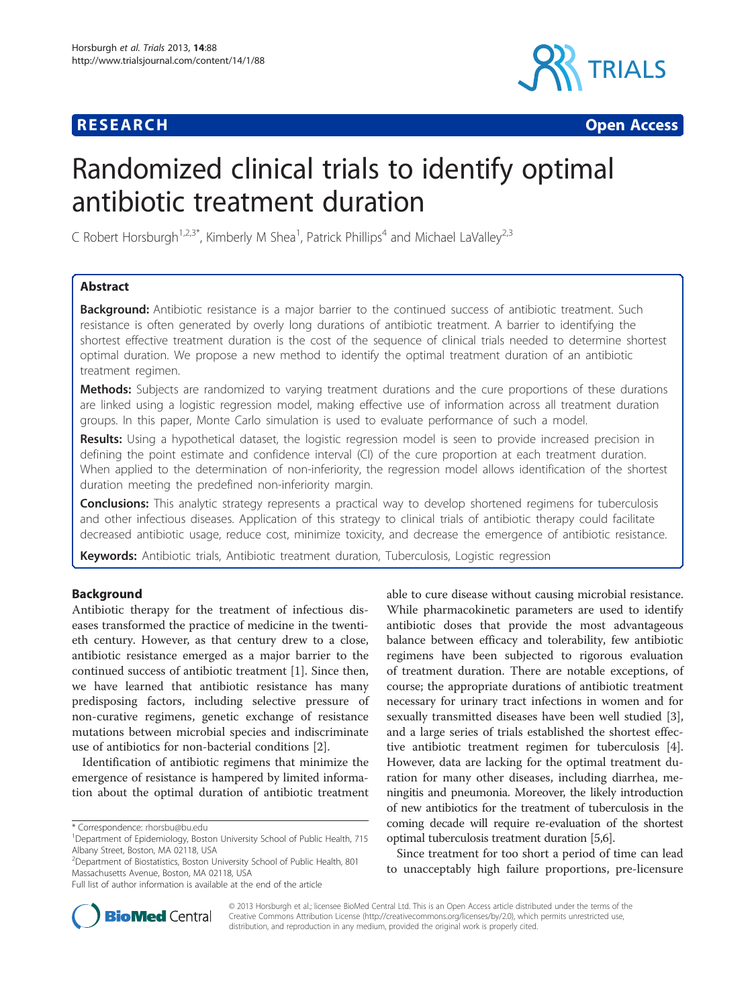## **RESEARCH CHINESE ARCH CHINESE ARCH CHINESE ARCH <b>CHINESE ARCH**



# Randomized clinical trials to identify optimal antibiotic treatment duration

C Robert Horsburgh<sup>1,2,3\*</sup>, Kimberly M Shea<sup>1</sup>, Patrick Phillips<sup>4</sup> and Michael LaValley<sup>2,3</sup>

## Abstract

Background: Antibiotic resistance is a major barrier to the continued success of antibiotic treatment. Such resistance is often generated by overly long durations of antibiotic treatment. A barrier to identifying the shortest effective treatment duration is the cost of the sequence of clinical trials needed to determine shortest optimal duration. We propose a new method to identify the optimal treatment duration of an antibiotic treatment regimen.

**Methods:** Subjects are randomized to varying treatment durations and the cure proportions of these durations are linked using a logistic regression model, making effective use of information across all treatment duration groups. In this paper, Monte Carlo simulation is used to evaluate performance of such a model.

Results: Using a hypothetical dataset, the logistic regression model is seen to provide increased precision in defining the point estimate and confidence interval (CI) of the cure proportion at each treatment duration. When applied to the determination of non-inferiority, the regression model allows identification of the shortest duration meeting the predefined non-inferiority margin.

**Conclusions:** This analytic strategy represents a practical way to develop shortened regimens for tuberculosis and other infectious diseases. Application of this strategy to clinical trials of antibiotic therapy could facilitate decreased antibiotic usage, reduce cost, minimize toxicity, and decrease the emergence of antibiotic resistance.

Keywords: Antibiotic trials, Antibiotic treatment duration, Tuberculosis, Logistic regression

## Background

Antibiotic therapy for the treatment of infectious diseases transformed the practice of medicine in the twentieth century. However, as that century drew to a close, antibiotic resistance emerged as a major barrier to the continued success of antibiotic treatment [\[1\]](#page-7-0). Since then, we have learned that antibiotic resistance has many predisposing factors, including selective pressure of non-curative regimens, genetic exchange of resistance mutations between microbial species and indiscriminate use of antibiotics for non-bacterial conditions [[2\]](#page-7-0).

Identification of antibiotic regimens that minimize the emergence of resistance is hampered by limited information about the optimal duration of antibiotic treatment

\* Correspondence: [rhorsbu@bu.edu](mailto:rhorsbu@bu.edu) <sup>1</sup>

Full list of author information is available at the end of the article

able to cure disease without causing microbial resistance. While pharmacokinetic parameters are used to identify antibiotic doses that provide the most advantageous balance between efficacy and tolerability, few antibiotic regimens have been subjected to rigorous evaluation of treatment duration. There are notable exceptions, of course; the appropriate durations of antibiotic treatment necessary for urinary tract infections in women and for sexually transmitted diseases have been well studied [\[3](#page-7-0)], and a large series of trials established the shortest effective antibiotic treatment regimen for tuberculosis [\[4](#page-7-0)]. However, data are lacking for the optimal treatment duration for many other diseases, including diarrhea, meningitis and pneumonia. Moreover, the likely introduction of new antibiotics for the treatment of tuberculosis in the coming decade will require re-evaluation of the shortest optimal tuberculosis treatment duration [\[5,6\]](#page-7-0).

Since treatment for too short a period of time can lead to unacceptably high failure proportions, pre-licensure



© 2013 Horsburgh et al.; licensee BioMed Central Ltd. This is an Open Access article distributed under the terms of the Creative Commons Attribution License (<http://creativecommons.org/licenses/by/2.0>), which permits unrestricted use, distribution, and reproduction in any medium, provided the original work is properly cited.

<sup>&</sup>lt;sup>1</sup>Department of Epidemiology, Boston University School of Public Health, 715 Albany Street, Boston, MA 02118, USA

<sup>&</sup>lt;sup>2</sup> Department of Biostatistics, Boston University School of Public Health, 801 Massachusetts Avenue, Boston, MA 02118, USA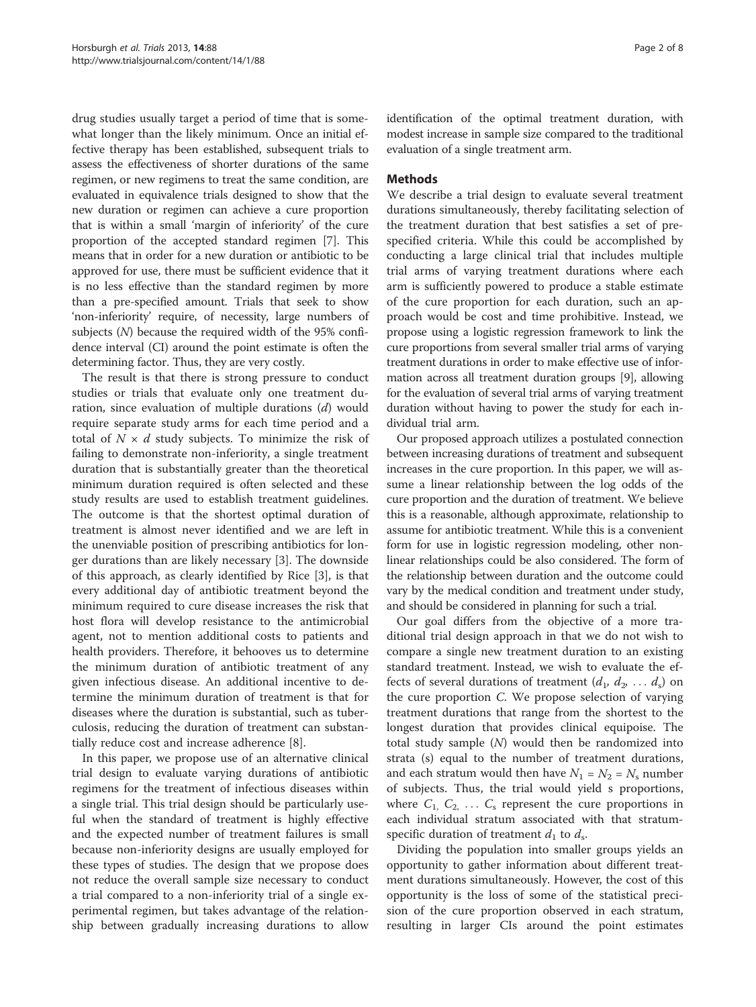drug studies usually target a period of time that is somewhat longer than the likely minimum. Once an initial effective therapy has been established, subsequent trials to assess the effectiveness of shorter durations of the same regimen, or new regimens to treat the same condition, are evaluated in equivalence trials designed to show that the new duration or regimen can achieve a cure proportion that is within a small 'margin of inferiority' of the cure proportion of the accepted standard regimen [\[7](#page-7-0)]. This means that in order for a new duration or antibiotic to be approved for use, there must be sufficient evidence that it is no less effective than the standard regimen by more than a pre-specified amount. Trials that seek to show 'non-inferiority' require, of necessity, large numbers of subjects (N) because the required width of the 95% confidence interval (CI) around the point estimate is often the determining factor. Thus, they are very costly.

The result is that there is strong pressure to conduct studies or trials that evaluate only one treatment duration, since evaluation of multiple durations (d) would require separate study arms for each time period and a total of  $N \times d$  study subjects. To minimize the risk of failing to demonstrate non-inferiority, a single treatment duration that is substantially greater than the theoretical minimum duration required is often selected and these study results are used to establish treatment guidelines. The outcome is that the shortest optimal duration of treatment is almost never identified and we are left in the unenviable position of prescribing antibiotics for longer durations than are likely necessary [[3\]](#page-7-0). The downside of this approach, as clearly identified by Rice [[3\]](#page-7-0), is that every additional day of antibiotic treatment beyond the minimum required to cure disease increases the risk that host flora will develop resistance to the antimicrobial agent, not to mention additional costs to patients and health providers. Therefore, it behooves us to determine the minimum duration of antibiotic treatment of any given infectious disease. An additional incentive to determine the minimum duration of treatment is that for diseases where the duration is substantial, such as tuberculosis, reducing the duration of treatment can substantially reduce cost and increase adherence [[8\]](#page-7-0).

In this paper, we propose use of an alternative clinical trial design to evaluate varying durations of antibiotic regimens for the treatment of infectious diseases within a single trial. This trial design should be particularly useful when the standard of treatment is highly effective and the expected number of treatment failures is small because non-inferiority designs are usually employed for these types of studies. The design that we propose does not reduce the overall sample size necessary to conduct a trial compared to a non-inferiority trial of a single experimental regimen, but takes advantage of the relationship between gradually increasing durations to allow identification of the optimal treatment duration, with modest increase in sample size compared to the traditional evaluation of a single treatment arm.

## Methods

We describe a trial design to evaluate several treatment durations simultaneously, thereby facilitating selection of the treatment duration that best satisfies a set of prespecified criteria. While this could be accomplished by conducting a large clinical trial that includes multiple trial arms of varying treatment durations where each arm is sufficiently powered to produce a stable estimate of the cure proportion for each duration, such an approach would be cost and time prohibitive. Instead, we propose using a logistic regression framework to link the cure proportions from several smaller trial arms of varying treatment durations in order to make effective use of information across all treatment duration groups [[9](#page-7-0)], allowing for the evaluation of several trial arms of varying treatment duration without having to power the study for each individual trial arm.

Our proposed approach utilizes a postulated connection between increasing durations of treatment and subsequent increases in the cure proportion. In this paper, we will assume a linear relationship between the log odds of the cure proportion and the duration of treatment. We believe this is a reasonable, although approximate, relationship to assume for antibiotic treatment. While this is a convenient form for use in logistic regression modeling, other nonlinear relationships could be also considered. The form of the relationship between duration and the outcome could vary by the medical condition and treatment under study, and should be considered in planning for such a trial.

Our goal differs from the objective of a more traditional trial design approach in that we do not wish to compare a single new treatment duration to an existing standard treatment. Instead, we wish to evaluate the effects of several durations of treatment  $(d_1, d_2, \ldots, d_s)$  on the cure proportion C. We propose selection of varying treatment durations that range from the shortest to the longest duration that provides clinical equipoise. The total study sample  $(N)$  would then be randomized into strata (s) equal to the number of treatment durations, and each stratum would then have  $N_1 = N_2 = N_s$  number of subjects. Thus, the trial would yield s proportions, where  $C_1, C_2, \ldots, C_s$  represent the cure proportions in each individual stratum associated with that stratumspecific duration of treatment  $d_1$  to  $d_s$ .

Dividing the population into smaller groups yields an opportunity to gather information about different treatment durations simultaneously. However, the cost of this opportunity is the loss of some of the statistical precision of the cure proportion observed in each stratum, resulting in larger CIs around the point estimates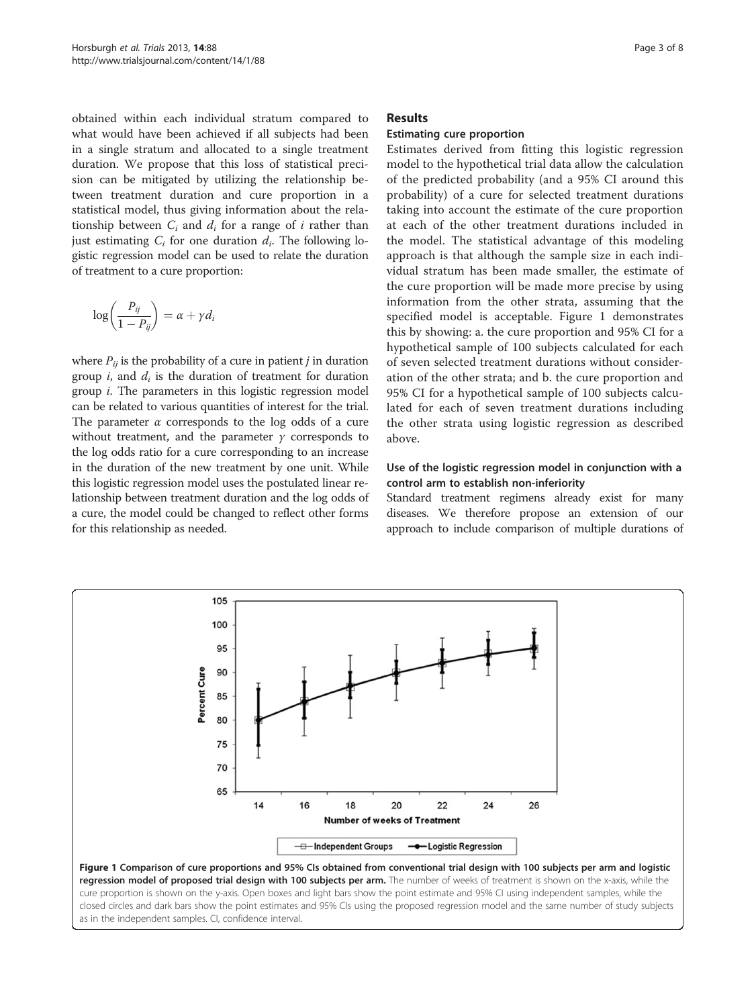obtained within each individual stratum compared to what would have been achieved if all subjects had been in a single stratum and allocated to a single treatment duration. We propose that this loss of statistical precision can be mitigated by utilizing the relationship between treatment duration and cure proportion in a statistical model, thus giving information about the relationship between  $C_i$  and  $d_i$  for a range of i rather than just estimating  $C_i$  for one duration  $d_i$ . The following logistic regression model can be used to relate the duration of treatment to a cure proportion:

$$
\log\left(\frac{P_{ij}}{1-P_{ij}}\right)=\alpha+\gamma d_i
$$

where  $P_{ii}$  is the probability of a cure in patient *j* in duration group  $i$ , and  $d_i$  is the duration of treatment for duration group i. The parameters in this logistic regression model can be related to various quantities of interest for the trial. The parameter  $\alpha$  corresponds to the log odds of a cure without treatment, and the parameter  $\gamma$  corresponds to the log odds ratio for a cure corresponding to an increase in the duration of the new treatment by one unit. While this logistic regression model uses the postulated linear relationship between treatment duration and the log odds of a cure, the model could be changed to reflect other forms for this relationship as needed.

#### Results

## Estimating cure proportion

Estimates derived from fitting this logistic regression model to the hypothetical trial data allow the calculation of the predicted probability (and a 95% CI around this probability) of a cure for selected treatment durations taking into account the estimate of the cure proportion at each of the other treatment durations included in the model. The statistical advantage of this modeling approach is that although the sample size in each individual stratum has been made smaller, the estimate of the cure proportion will be made more precise by using information from the other strata, assuming that the specified model is acceptable. Figure 1 demonstrates this by showing: a. the cure proportion and 95% CI for a hypothetical sample of 100 subjects calculated for each of seven selected treatment durations without consideration of the other strata; and b. the cure proportion and 95% CI for a hypothetical sample of 100 subjects calculated for each of seven treatment durations including the other strata using logistic regression as described above.

## Use of the logistic regression model in conjunction with a control arm to establish non-inferiority

Standard treatment regimens already exist for many diseases. We therefore propose an extension of our approach to include comparison of multiple durations of

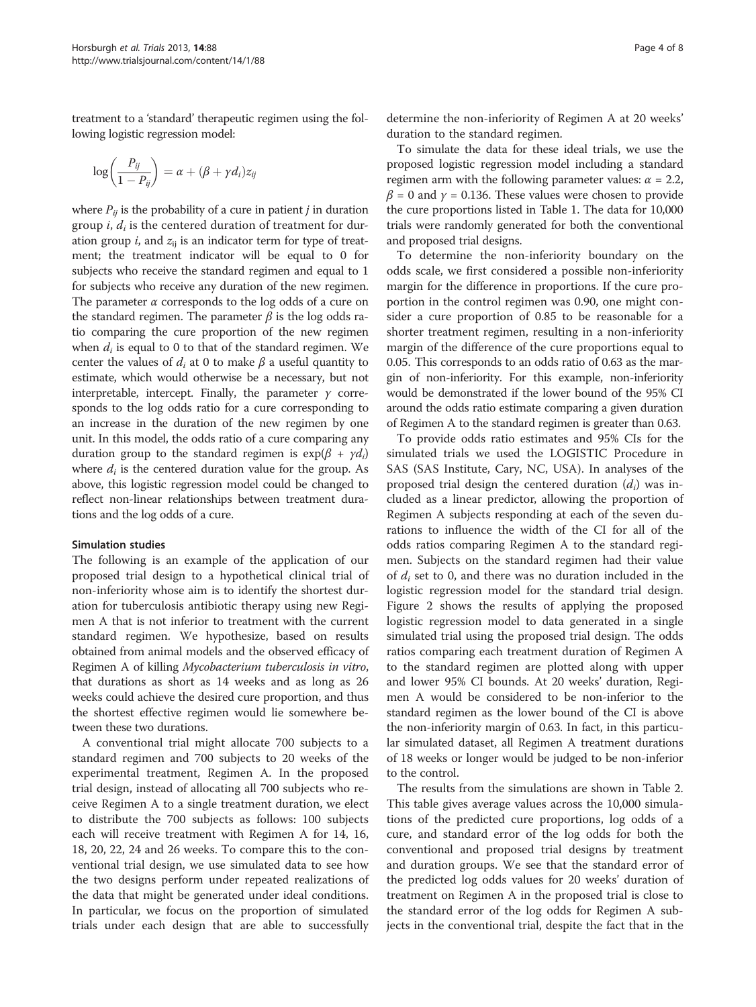treatment to a 'standard' therapeutic regimen using the following logistic regression model:

$$
\log\left(\frac{P_{ij}}{1-P_{ij}}\right)=\alpha+(\beta+\gamma d_i)z_{ij}
$$

where  $P_{ii}$  is the probability of a cure in patient *j* in duration group  $i$ ,  $d_i$  is the centered duration of treatment for duration group  $i$ , and  $z_{ii}$  is an indicator term for type of treatment; the treatment indicator will be equal to 0 for subjects who receive the standard regimen and equal to 1 for subjects who receive any duration of the new regimen. The parameter  $\alpha$  corresponds to the log odds of a cure on the standard regimen. The parameter  $\beta$  is the log odds ratio comparing the cure proportion of the new regimen when  $d_i$  is equal to 0 to that of the standard regimen. We center the values of  $d_i$  at 0 to make  $\beta$  a useful quantity to estimate, which would otherwise be a necessary, but not interpretable, intercept. Finally, the parameter  $\gamma$  corresponds to the log odds ratio for a cure corresponding to an increase in the duration of the new regimen by one unit. In this model, the odds ratio of a cure comparing any duration group to the standard regimen is  $exp(\beta + \gamma d_i)$ where  $d_i$  is the centered duration value for the group. As above, this logistic regression model could be changed to reflect non-linear relationships between treatment durations and the log odds of a cure.

#### Simulation studies

The following is an example of the application of our proposed trial design to a hypothetical clinical trial of non-inferiority whose aim is to identify the shortest duration for tuberculosis antibiotic therapy using new Regimen A that is not inferior to treatment with the current standard regimen. We hypothesize, based on results obtained from animal models and the observed efficacy of Regimen A of killing Mycobacterium tuberculosis in vitro, that durations as short as 14 weeks and as long as 26 weeks could achieve the desired cure proportion, and thus the shortest effective regimen would lie somewhere between these two durations.

A conventional trial might allocate 700 subjects to a standard regimen and 700 subjects to 20 weeks of the experimental treatment, Regimen A. In the proposed trial design, instead of allocating all 700 subjects who receive Regimen A to a single treatment duration, we elect to distribute the 700 subjects as follows: 100 subjects each will receive treatment with Regimen A for 14, 16, 18, 20, 22, 24 and 26 weeks. To compare this to the conventional trial design, we use simulated data to see how the two designs perform under repeated realizations of the data that might be generated under ideal conditions. In particular, we focus on the proportion of simulated trials under each design that are able to successfully

determine the non-inferiority of Regimen A at 20 weeks' duration to the standard regimen.

To simulate the data for these ideal trials, we use the proposed logistic regression model including a standard regimen arm with the following parameter values:  $\alpha$  = 2.2,  $\beta$  = 0 and  $\gamma$  = 0.136. These values were chosen to provide the cure proportions listed in Table [1.](#page-4-0) The data for 10,000 trials were randomly generated for both the conventional and proposed trial designs.

To determine the non-inferiority boundary on the odds scale, we first considered a possible non-inferiority margin for the difference in proportions. If the cure proportion in the control regimen was 0.90, one might consider a cure proportion of 0.85 to be reasonable for a shorter treatment regimen, resulting in a non-inferiority margin of the difference of the cure proportions equal to 0.05. This corresponds to an odds ratio of 0.63 as the margin of non-inferiority. For this example, non-inferiority would be demonstrated if the lower bound of the 95% CI around the odds ratio estimate comparing a given duration of Regimen A to the standard regimen is greater than 0.63.

To provide odds ratio estimates and 95% CIs for the simulated trials we used the LOGISTIC Procedure in SAS (SAS Institute, Cary, NC, USA). In analyses of the proposed trial design the centered duration  $(d_i)$  was included as a linear predictor, allowing the proportion of Regimen A subjects responding at each of the seven durations to influence the width of the CI for all of the odds ratios comparing Regimen A to the standard regimen. Subjects on the standard regimen had their value of  $d_i$  set to 0, and there was no duration included in the logistic regression model for the standard trial design. Figure [2](#page-4-0) shows the results of applying the proposed logistic regression model to data generated in a single simulated trial using the proposed trial design. The odds ratios comparing each treatment duration of Regimen A to the standard regimen are plotted along with upper and lower 95% CI bounds. At 20 weeks' duration, Regimen A would be considered to be non-inferior to the standard regimen as the lower bound of the CI is above the non-inferiority margin of 0.63. In fact, in this particular simulated dataset, all Regimen A treatment durations of 18 weeks or longer would be judged to be non-inferior to the control.

The results from the simulations are shown in Table [2](#page-5-0). This table gives average values across the 10,000 simulations of the predicted cure proportions, log odds of a cure, and standard error of the log odds for both the conventional and proposed trial designs by treatment and duration groups. We see that the standard error of the predicted log odds values for 20 weeks' duration of treatment on Regimen A in the proposed trial is close to the standard error of the log odds for Regimen A subjects in the conventional trial, despite the fact that in the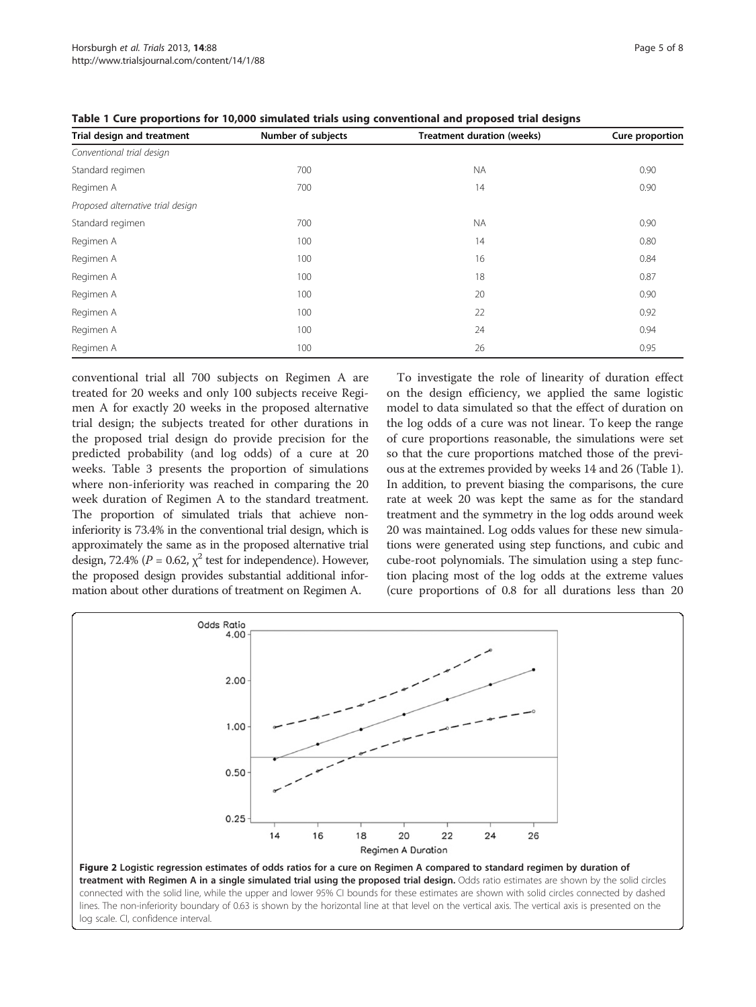| Number of subjects | <b>Treatment duration (weeks)</b> | Cure proportion       |  |  |  |  |
|--------------------|-----------------------------------|-----------------------|--|--|--|--|
|                    |                                   |                       |  |  |  |  |
| 700                | <b>NA</b>                         | 0.90                  |  |  |  |  |
| 700                | 14                                | 0.90                  |  |  |  |  |
|                    |                                   |                       |  |  |  |  |
| 700                | <b>NA</b>                         | 0.90                  |  |  |  |  |
| 100                | 14                                | 0.80                  |  |  |  |  |
| 100                | 16                                | 0.84                  |  |  |  |  |
| 100                | 18                                | 0.87                  |  |  |  |  |
| 100                | 20                                | 0.90                  |  |  |  |  |
| 100                | 22                                | 0.92                  |  |  |  |  |
| 100                | 24                                | 0.94                  |  |  |  |  |
| 100                | 26                                | 0.95                  |  |  |  |  |
|                    |                                   | ----------------<br>– |  |  |  |  |

<span id="page-4-0"></span>

|  |  | Table 1 Cure proportions for 10,000 simulated trials using conventional and proposed trial designs |  |
|--|--|----------------------------------------------------------------------------------------------------|--|
|--|--|----------------------------------------------------------------------------------------------------|--|

conventional trial all 700 subjects on Regimen A are treated for 20 weeks and only 100 subjects receive Regimen A for exactly 20 weeks in the proposed alternative trial design; the subjects treated for other durations in the proposed trial design do provide precision for the predicted probability (and log odds) of a cure at 20 weeks. Table 3 presents the proportion of simulations where non-inferiority was reached in comparing the 20 week duration of Regimen A to the standard treatment. The proportion of simulated trials that achieve noninferiority is 73.4% in the conventional trial design, which is approximately the same as in the proposed alternative trial design, 72.4% ( $P = 0.62$ ,  $\chi^2$  test for independence). However, the proposed design provides substantial additional information about other durations of treatment on Regimen A.

To investigate the role of linearity of duration effect on the design efficiency, we applied the same logistic model to data simulated so that the effect of duration on the log odds of a cure was not linear. To keep the range of cure proportions reasonable, the simulations were set so that the cure proportions matched those of the previous at the extremes provided by weeks 14 and 26 (Table 1). In addition, to prevent biasing the comparisons, the cure rate at week 20 was kept the same as for the standard treatment and the symmetry in the log odds around week 20 was maintained. Log odds values for these new simulations were generated using step functions, and cubic and cube-root polynomials. The simulation using a step function placing most of the log odds at the extreme values (cure proportions of 0.8 for all durations less than 20



connected with the solid line, while the upper and lower 95% CI bounds for these estimates are shown with solid circles connected by dashed lines. The non-inferiority boundary of 0.63 is shown by the horizontal line at that level on the vertical axis. The vertical axis is presented on the log scale. CI, confidence interval.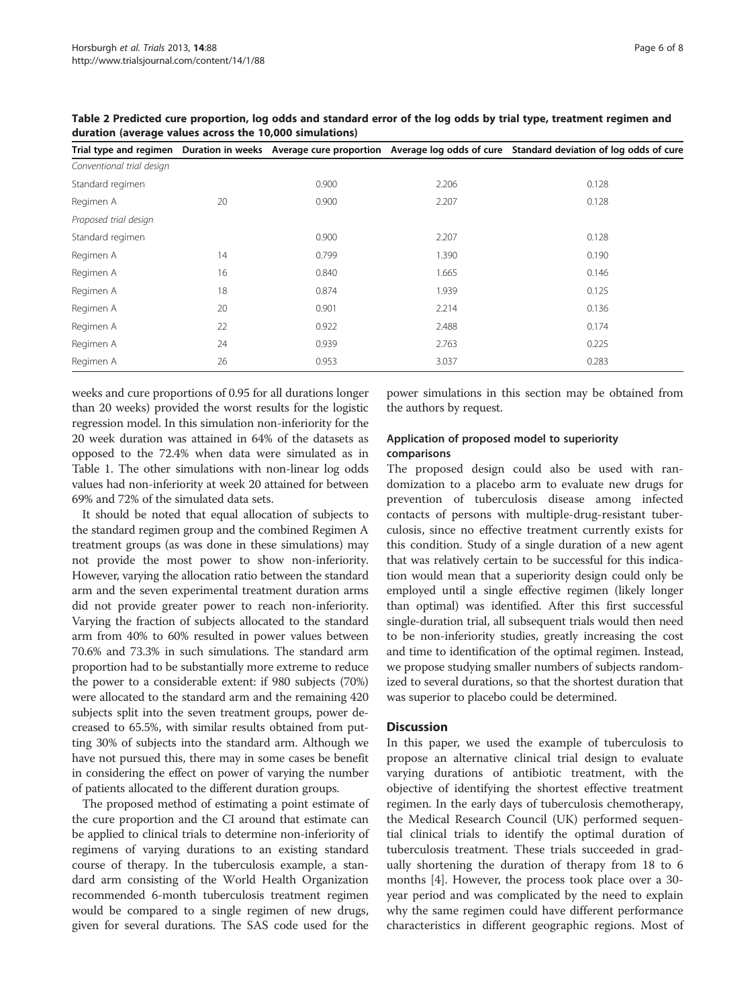|                           |    |       |       | Trial type and regimen Duration in weeks Average cure proportion Average log odds of cure Standard deviation of log odds of cure |
|---------------------------|----|-------|-------|----------------------------------------------------------------------------------------------------------------------------------|
| Conventional trial design |    |       |       |                                                                                                                                  |
| Standard regimen          |    | 0.900 | 2.206 | 0.128                                                                                                                            |
| Regimen A                 | 20 | 0.900 | 2.207 | 0.128                                                                                                                            |
| Proposed trial design     |    |       |       |                                                                                                                                  |
| Standard regimen          |    | 0.900 | 2.207 | 0.128                                                                                                                            |
| Regimen A                 | 14 | 0.799 | 1.390 | 0.190                                                                                                                            |
| Regimen A                 | 16 | 0.840 | 1.665 | 0.146                                                                                                                            |
| Regimen A                 | 18 | 0.874 | 1.939 | 0.125                                                                                                                            |
| Regimen A                 | 20 | 0.901 | 2.214 | 0.136                                                                                                                            |
| Regimen A                 | 22 | 0.922 | 2.488 | 0.174                                                                                                                            |
| Regimen A                 | 24 | 0.939 | 2.763 | 0.225                                                                                                                            |
| Regimen A                 | 26 | 0.953 | 3.037 | 0.283                                                                                                                            |

<span id="page-5-0"></span>Table 2 Predicted cure proportion, log odds and standard error of the log odds by trial type, treatment regimen and duration (average values across the 10,000 simulations)

weeks and cure proportions of 0.95 for all durations longer than 20 weeks) provided the worst results for the logistic regression model. In this simulation non-inferiority for the 20 week duration was attained in 64% of the datasets as opposed to the 72.4% when data were simulated as in Table [1](#page-4-0). The other simulations with non-linear log odds values had non-inferiority at week 20 attained for between 69% and 72% of the simulated data sets.

It should be noted that equal allocation of subjects to the standard regimen group and the combined Regimen A treatment groups (as was done in these simulations) may not provide the most power to show non-inferiority. However, varying the allocation ratio between the standard arm and the seven experimental treatment duration arms did not provide greater power to reach non-inferiority. Varying the fraction of subjects allocated to the standard arm from 40% to 60% resulted in power values between 70.6% and 73.3% in such simulations. The standard arm proportion had to be substantially more extreme to reduce the power to a considerable extent: if 980 subjects (70%) were allocated to the standard arm and the remaining 420 subjects split into the seven treatment groups, power decreased to 65.5%, with similar results obtained from putting 30% of subjects into the standard arm. Although we have not pursued this, there may in some cases be benefit in considering the effect on power of varying the number of patients allocated to the different duration groups.

The proposed method of estimating a point estimate of the cure proportion and the CI around that estimate can be applied to clinical trials to determine non-inferiority of regimens of varying durations to an existing standard course of therapy. In the tuberculosis example, a standard arm consisting of the World Health Organization recommended 6-month tuberculosis treatment regimen would be compared to a single regimen of new drugs, given for several durations. The SAS code used for the

power simulations in this section may be obtained from the authors by request.

## Application of proposed model to superiority comparisons

The proposed design could also be used with randomization to a placebo arm to evaluate new drugs for prevention of tuberculosis disease among infected contacts of persons with multiple-drug-resistant tuberculosis, since no effective treatment currently exists for this condition. Study of a single duration of a new agent that was relatively certain to be successful for this indication would mean that a superiority design could only be employed until a single effective regimen (likely longer than optimal) was identified. After this first successful single-duration trial, all subsequent trials would then need to be non-inferiority studies, greatly increasing the cost and time to identification of the optimal regimen. Instead, we propose studying smaller numbers of subjects randomized to several durations, so that the shortest duration that was superior to placebo could be determined.

## **Discussion**

In this paper, we used the example of tuberculosis to propose an alternative clinical trial design to evaluate varying durations of antibiotic treatment, with the objective of identifying the shortest effective treatment regimen. In the early days of tuberculosis chemotherapy, the Medical Research Council (UK) performed sequential clinical trials to identify the optimal duration of tuberculosis treatment. These trials succeeded in gradually shortening the duration of therapy from 18 to 6 months [[4\]](#page-7-0). However, the process took place over a 30 year period and was complicated by the need to explain why the same regimen could have different performance characteristics in different geographic regions. Most of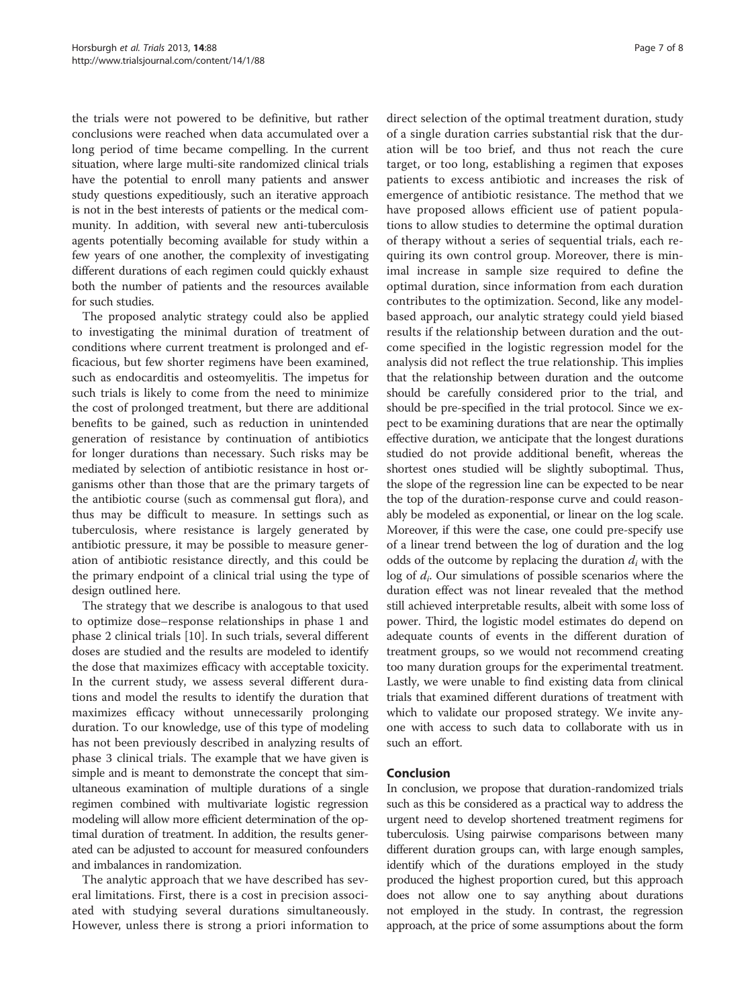the trials were not powered to be definitive, but rather conclusions were reached when data accumulated over a long period of time became compelling. In the current situation, where large multi-site randomized clinical trials have the potential to enroll many patients and answer study questions expeditiously, such an iterative approach is not in the best interests of patients or the medical community. In addition, with several new anti-tuberculosis agents potentially becoming available for study within a few years of one another, the complexity of investigating different durations of each regimen could quickly exhaust both the number of patients and the resources available for such studies.

The proposed analytic strategy could also be applied to investigating the minimal duration of treatment of conditions where current treatment is prolonged and efficacious, but few shorter regimens have been examined, such as endocarditis and osteomyelitis. The impetus for such trials is likely to come from the need to minimize the cost of prolonged treatment, but there are additional benefits to be gained, such as reduction in unintended generation of resistance by continuation of antibiotics for longer durations than necessary. Such risks may be mediated by selection of antibiotic resistance in host organisms other than those that are the primary targets of the antibiotic course (such as commensal gut flora), and thus may be difficult to measure. In settings such as tuberculosis, where resistance is largely generated by antibiotic pressure, it may be possible to measure generation of antibiotic resistance directly, and this could be the primary endpoint of a clinical trial using the type of design outlined here.

The strategy that we describe is analogous to that used to optimize dose–response relationships in phase 1 and phase 2 clinical trials [[10](#page-7-0)]. In such trials, several different doses are studied and the results are modeled to identify the dose that maximizes efficacy with acceptable toxicity. In the current study, we assess several different durations and model the results to identify the duration that maximizes efficacy without unnecessarily prolonging duration. To our knowledge, use of this type of modeling has not been previously described in analyzing results of phase 3 clinical trials. The example that we have given is simple and is meant to demonstrate the concept that simultaneous examination of multiple durations of a single regimen combined with multivariate logistic regression modeling will allow more efficient determination of the optimal duration of treatment. In addition, the results generated can be adjusted to account for measured confounders and imbalances in randomization.

The analytic approach that we have described has several limitations. First, there is a cost in precision associated with studying several durations simultaneously. However, unless there is strong a priori information to

direct selection of the optimal treatment duration, study of a single duration carries substantial risk that the duration will be too brief, and thus not reach the cure target, or too long, establishing a regimen that exposes patients to excess antibiotic and increases the risk of emergence of antibiotic resistance. The method that we have proposed allows efficient use of patient populations to allow studies to determine the optimal duration of therapy without a series of sequential trials, each requiring its own control group. Moreover, there is minimal increase in sample size required to define the optimal duration, since information from each duration contributes to the optimization. Second, like any modelbased approach, our analytic strategy could yield biased results if the relationship between duration and the outcome specified in the logistic regression model for the analysis did not reflect the true relationship. This implies that the relationship between duration and the outcome should be carefully considered prior to the trial, and should be pre-specified in the trial protocol. Since we expect to be examining durations that are near the optimally effective duration, we anticipate that the longest durations studied do not provide additional benefit, whereas the shortest ones studied will be slightly suboptimal. Thus, the slope of the regression line can be expected to be near the top of the duration-response curve and could reasonably be modeled as exponential, or linear on the log scale. Moreover, if this were the case, one could pre-specify use of a linear trend between the log of duration and the log odds of the outcome by replacing the duration  $d_i$  with the  $\log$  of  $d_i$ . Our simulations of possible scenarios where the duration effect was not linear revealed that the method still achieved interpretable results, albeit with some loss of power. Third, the logistic model estimates do depend on adequate counts of events in the different duration of treatment groups, so we would not recommend creating too many duration groups for the experimental treatment. Lastly, we were unable to find existing data from clinical trials that examined different durations of treatment with which to validate our proposed strategy. We invite anyone with access to such data to collaborate with us in such an effort.

## Conclusion

In conclusion, we propose that duration-randomized trials such as this be considered as a practical way to address the urgent need to develop shortened treatment regimens for tuberculosis. Using pairwise comparisons between many different duration groups can, with large enough samples, identify which of the durations employed in the study produced the highest proportion cured, but this approach does not allow one to say anything about durations not employed in the study. In contrast, the regression approach, at the price of some assumptions about the form